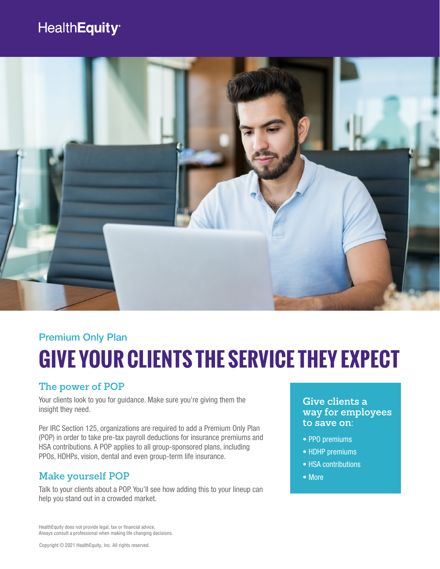### HealthEquity®



# **GIVE YOUR CLIENTS THE SERVICE THEY EXPECT**  Premium Only Plan

#### **The power of POP**

Your clients look to you for quidance. Make sure you're giving them the insight they need.

Per IRC Section 125, organizations are required to add a Premium Only Plan (POP) in order to take pre-tax payroll deductions for insurance premiums and HSA contributions. A POP applies to all group-sponsored plans, including PPOs, HDHPs, vision, dental and even group-term life insurance.

#### **Make yourself POP**

Talk to your clients about a POP. You'll see how adding this to your lineup can help you stand out in a crowded market.

#### **Give clients a way for employees to save on:**

- PPO premiums
- HDHP premiums
- HSA contributions
- More

HealthEquity does not provide legal, tax or financial advice. Always consult a professional when making life changing decisions.